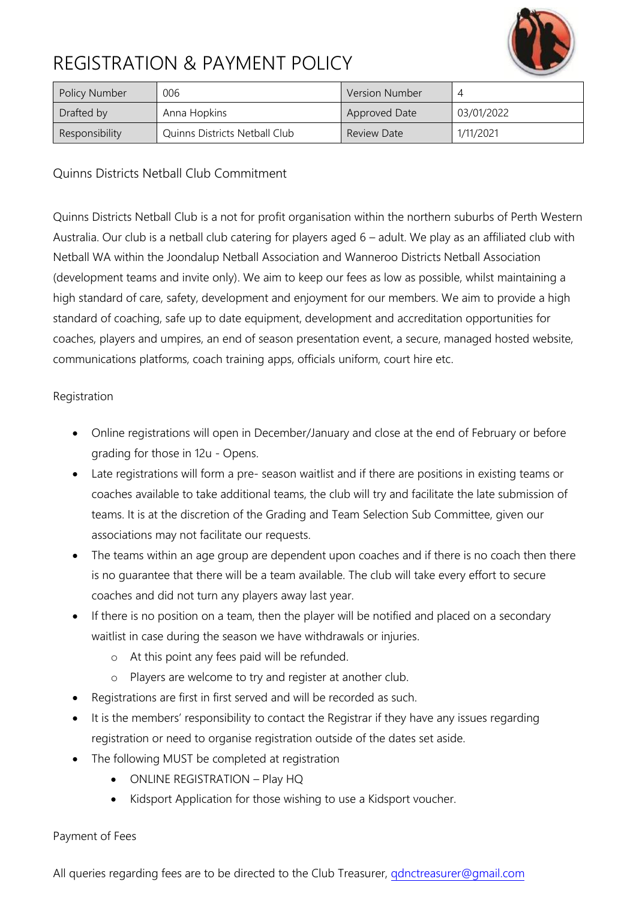

# REGISTRATION & PAYMENT POLICY

| <b>Policy Number</b> | 006                           | <b>Version Number</b> |            |
|----------------------|-------------------------------|-----------------------|------------|
| Drafted by           | Anna Hopkins                  | Approved Date         | 03/01/2022 |
| Responsibility       | Quinns Districts Netball Club | <b>Review Date</b>    | 1/11/2021  |

Quinns Districts Netball Club Commitment

Quinns Districts Netball Club is a not for profit organisation within the northern suburbs of Perth Western Australia. Our club is a netball club catering for players aged 6 – adult. We play as an affiliated club with Netball WA within the Joondalup Netball Association and Wanneroo Districts Netball Association (development teams and invite only). We aim to keep our fees as low as possible, whilst maintaining a high standard of care, safety, development and enjoyment for our members. We aim to provide a high standard of coaching, safe up to date equipment, development and accreditation opportunities for coaches, players and umpires, an end of season presentation event, a secure, managed hosted website, communications platforms, coach training apps, officials uniform, court hire etc.

## Registration

- Online registrations will open in December/January and close at the end of February or before grading for those in 12u - Opens.
- Late registrations will form a pre- season waitlist and if there are positions in existing teams or coaches available to take additional teams, the club will try and facilitate the late submission of teams. It is at the discretion of the Grading and Team Selection Sub Committee, given our associations may not facilitate our requests.
- The teams within an age group are dependent upon coaches and if there is no coach then there is no guarantee that there will be a team available. The club will take every effort to secure coaches and did not turn any players away last year.
- If there is no position on a team, then the player will be notified and placed on a secondary waitlist in case during the season we have withdrawals or injuries.
	- o At this point any fees paid will be refunded.
	- o Players are welcome to try and register at another club.
- Registrations are first in first served and will be recorded as such.
- It is the members' responsibility to contact the Registrar if they have any issues regarding registration or need to organise registration outside of the dates set aside.
- The following MUST be completed at registration
	- ONLINE REGISTRATION Play HQ
	- Kidsport Application for those wishing to use a Kidsport voucher.

#### Payment of Fees

All queries regarding fees are to be directed to the Club Treasurer, *qdnctreasurer@gmail.com*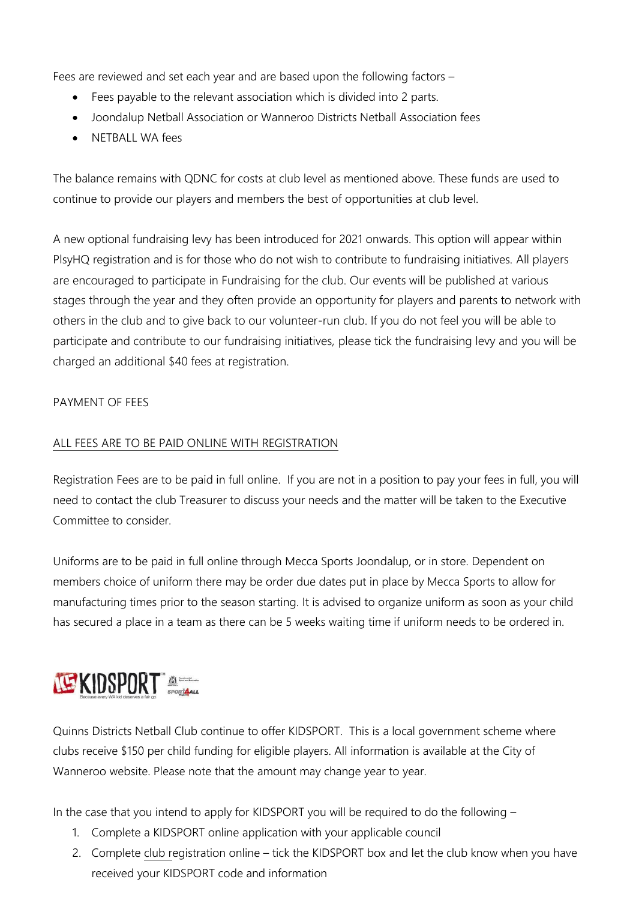Fees are reviewed and set each year and are based upon the following factors –

- Fees payable to the relevant association which is divided into 2 parts.
- Joondalup Netball Association or Wanneroo Districts Netball Association fees
- NETBALL WA fees

The balance remains with QDNC for costs at club level as mentioned above. These funds are used to continue to provide our players and members the best of opportunities at club level.

A new optional fundraising levy has been introduced for 2021 onwards. This option will appear within PlsyHQ registration and is for those who do not wish to contribute to fundraising initiatives. All players are encouraged to participate in Fundraising for the club. Our events will be published at various stages through the year and they often provide an opportunity for players and parents to network with others in the club and to give back to our volunteer-run club. If you do not feel you will be able to participate and contribute to our fundraising initiatives, please tick the fundraising levy and you will be charged an additional \$40 fees at registration.

# PAYMENT OF FEES

# ALL FEES ARE TO BE PAID ONLINE WITH REGISTRATION

Registration Fees are to be paid in full online. If you are not in a position to pay your fees in full, you will need to contact the club Treasurer to discuss your needs and the matter will be taken to the Executive Committee to consider.

Uniforms are to be paid in full online through Mecca Sports Joondalup, or in store. Dependent on members choice of uniform there may be order due dates put in place by Mecca Sports to allow for manufacturing times prior to the season starting. It is advised to organize uniform as soon as your child has secured a place in a team as there can be 5 weeks waiting time if uniform needs to be ordered in.

# **NEXIDSPORT**

Quinns Districts Netball Club continue to offer KIDSPORT. This is a local government scheme where clubs receive \$150 per child funding for eligible players. All information is available at the City of Wanneroo website. Please note that the amount may change year to year.

In the case that you intend to apply for KIDSPORT you will be required to do the following –

- 1. Complete a KIDSPORT online application with your applicable council
- 2. Complete club registration online tick the KIDSPORT box and let the club know when you have received your KIDSPORT code and information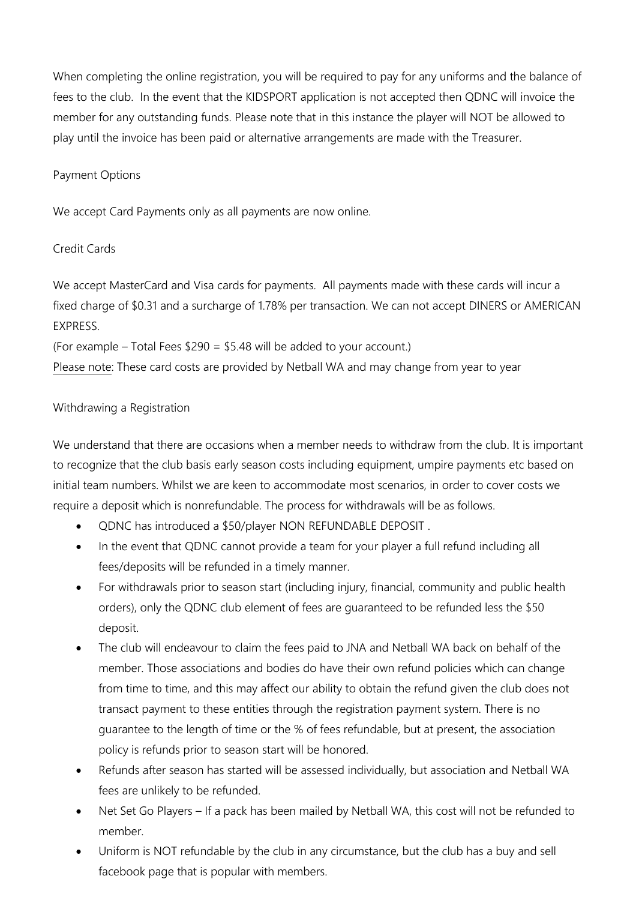When completing the online registration, you will be required to pay for any uniforms and the balance of fees to the club. In the event that the KIDSPORT application is not accepted then QDNC will invoice the member for any outstanding funds. Please note that in this instance the player will NOT be allowed to play until the invoice has been paid or alternative arrangements are made with the Treasurer.

#### Payment Options

We accept Card Payments only as all payments are now online.

#### Credit Cards

We accept MasterCard and Visa cards for payments. All payments made with these cards will incur a fixed charge of \$0.31 and a surcharge of 1.78% per transaction. We can not accept DINERS or AMERICAN EXPRESS.

(For example – Total Fees \$290 = \$5.48 will be added to your account.)

Please note: These card costs are provided by Netball WA and may change from year to year

#### Withdrawing a Registration

We understand that there are occasions when a member needs to withdraw from the club. It is important to recognize that the club basis early season costs including equipment, umpire payments etc based on initial team numbers. Whilst we are keen to accommodate most scenarios, in order to cover costs we require a deposit which is nonrefundable. The process for withdrawals will be as follows.

- QDNC has introduced a \$50/player NON REFUNDABLE DEPOSIT .
- In the event that QDNC cannot provide a team for your player a full refund including all fees/deposits will be refunded in a timely manner.
- For withdrawals prior to season start (including injury, financial, community and public health orders), only the QDNC club element of fees are guaranteed to be refunded less the \$50 deposit.
- The club will endeavour to claim the fees paid to JNA and Netball WA back on behalf of the member. Those associations and bodies do have their own refund policies which can change from time to time, and this may affect our ability to obtain the refund given the club does not transact payment to these entities through the registration payment system. There is no guarantee to the length of time or the % of fees refundable, but at present, the association policy is refunds prior to season start will be honored.
- Refunds after season has started will be assessed individually, but association and Netball WA fees are unlikely to be refunded.
- Net Set Go Players If a pack has been mailed by Netball WA, this cost will not be refunded to member.
- Uniform is NOT refundable by the club in any circumstance, but the club has a buy and sell facebook page that is popular with members.